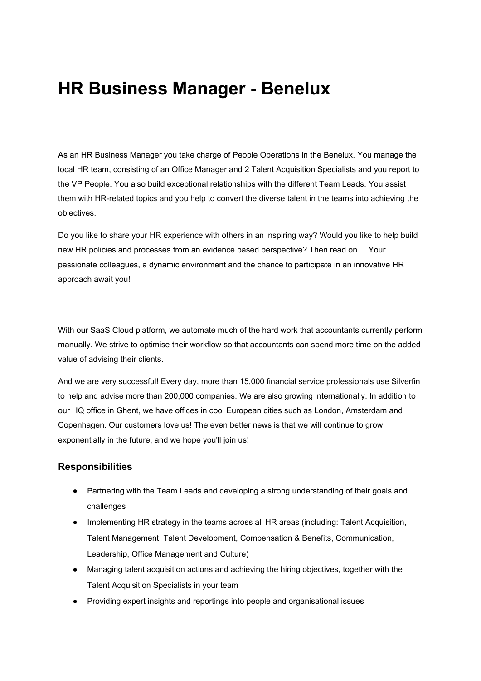# **HR Business Manager - Benelux**

As an HR Business Manager you take charge of People Operations in the Benelux. You manage the local HR team, consisting of an Office Manager and 2 Talent Acquisition Specialists and you report to the VP People. You also build exceptional relationships with the different Team Leads. You assist them with HR-related topics and you help to convert the diverse talent in the teams into achieving the objectives.

Do you like to share your HR experience with others in an inspiring way? Would you like to help build new HR policies and processes from an evidence based perspective? Then read on ... Your passionate colleagues, a dynamic environment and the chance to participate in an innovative HR approach await you!

With our SaaS Cloud platform, we automate much of the hard work that accountants currently perform manually. We strive to optimise their workflow so that accountants can spend more time on the added value of advising their clients.

And we are very successful! Every day, more than 15,000 financial service professionals use Silverfin to help and advise more than 200,000 companies. We are also growing internationally. In addition to our HQ office in Ghent, we have offices in cool European cities such as London, Amsterdam and Copenhagen. Our customers love us! The even better news is that we will continue to grow exponentially in the future, and we hope you'll join us!

#### **Responsibilities**

- Partnering with the Team Leads and developing a strong understanding of their goals and challenges
- Implementing HR strategy in the teams across all HR areas (including: Talent Acquisition, Talent Management, Talent Development, Compensation & Benefits, Communication, Leadership, Office Management and Culture)
- Managing talent acquisition actions and achieving the hiring objectives, together with the Talent Acquisition Specialists in your team
- Providing expert insights and reportings into people and organisational issues